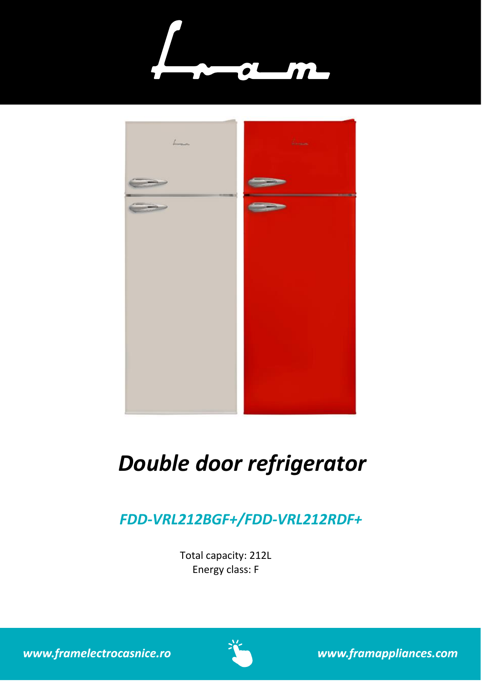



# *Double door refrigerator*

# *FDD-VRL212BGF+/FDD-VRL212RDF+*

Total capacity: 212L Energy class: F

www.framelectrocasnice.ro



www.framappliances.com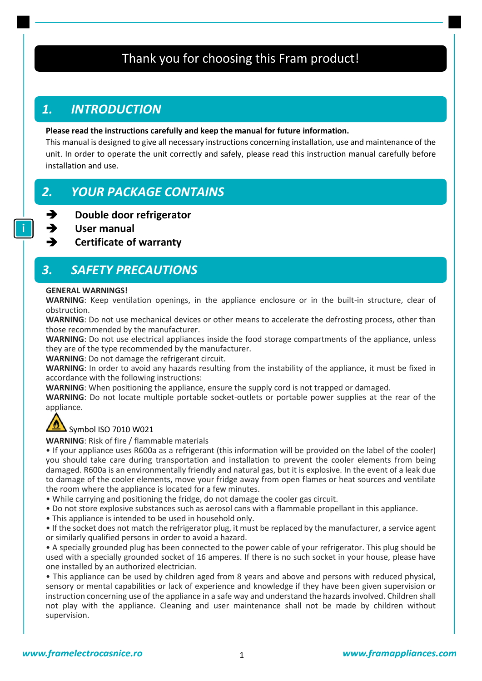### Thank you for choosing this Fram product!

### *1. INTRODUCTION*

### **Please read the instructions carefully and keep the manual for future information.**

This manual is designed to give all necessary instructions concerning installation, use and maintenance of the unit. In order to operate the unit correctly and safely, please read this instruction manual carefully before installation and use.

### *2. YOUR PACKAGE CONTAINS*

- ➔ **Double door refrigerator**
	- ➔ **User manual**

➔ **Certificate of warranty**

### *3. SAFETY PRECAUTIONS*

#### **GENERAL WARNINGS!**

**WARNING**: Keep ventilation openings, in the appliance enclosure or in the built-in structure, clear of obstruction.

**WARNING**: Do not use mechanical devices or other means to accelerate the defrosting process, other than those recommended by the manufacturer.

**WARNING**: Do not use electrical appliances inside the food storage compartments of the appliance, unless they are of the type recommended by the manufacturer.

**WARNING**: Do not damage the refrigerant circuit.

**WARNING**: In order to avoid any hazards resulting from the instability of the appliance, it must be fixed in accordance with the following instructions:

**WARNING**: When positioning the appliance, ensure the supply cord is not trapped or damaged.

**WARNING**: Do not locate multiple portable socket-outlets or portable power supplies at the rear of the appliance.



### $\textsf{Symbol}$  ISO 7010 W021

**WARNING**: Risk of fire / flammable materials

• If your appliance uses R600a as a refrigerant (this information will be provided on the label of the cooler) you should take care during transportation and installation to prevent the cooler elements from being damaged. R600a is an environmentally friendly and natural gas, but it is explosive. In the event of a leak due to damage of the cooler elements, move your fridge away from open flames or heat sources and ventilate the room where the appliance is located for a few minutes.

- While carrying and positioning the fridge, do not damage the cooler gas circuit.
- Do not store explosive substances such as aerosol cans with a flammable propellant in this appliance.
- This appliance is intended to be used in household only.

• If the socket does not match the refrigerator plug, it must be replaced by the manufacturer, a service agent or similarly qualified persons in order to avoid a hazard.

• A specially grounded plug has been connected to the power cable of your refrigerator. This plug should be used with a specially grounded socket of 16 amperes. If there is no such socket in your house, please have one installed by an authorized electrician.

• This appliance can be used by children aged from 8 years and above and persons with reduced physical, sensory or mental capabilities or lack of experience and knowledge if they have been given supervision or instruction concerning use of the appliance in a safe way and understand the hazards involved. Children shall not play with the appliance. Cleaning and user maintenance shall not be made by children without supervision.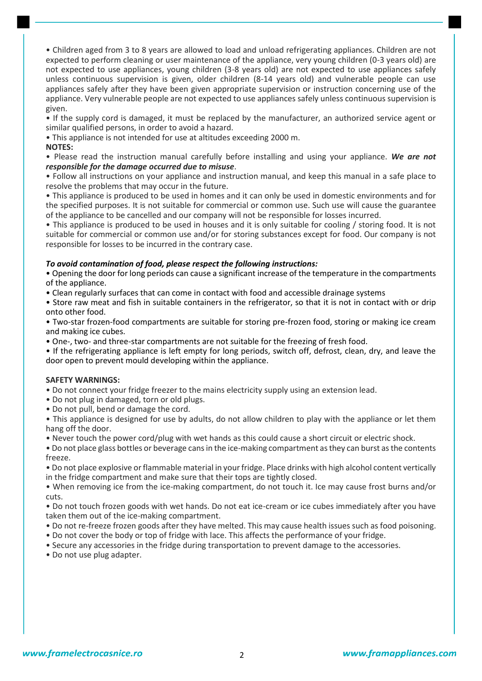• Children aged from 3 to 8 years are allowed to load and unload refrigerating appliances. Children are not expected to perform cleaning or user maintenance of the appliance, very young children (0-3 years old) are not expected to use appliances, young children (3-8 years old) are not expected to use appliances safely unless continuous supervision is given, older children (8-14 years old) and vulnerable people can use appliances safely after they have been given appropriate supervision or instruction concerning use of the appliance. Very vulnerable people are not expected to use appliances safely unless continuous supervision is given.

• If the supply cord is damaged, it must be replaced by the manufacturer, an authorized service agent or similar qualified persons, in order to avoid a hazard.

• This appliance is not intended for use at altitudes exceeding 2000 m.

### **NOTES:**

• Please read the instruction manual carefully before installing and using your appliance. *We are not responsible for the damage occurred due to misuse*.

• Follow all instructions on your appliance and instruction manual, and keep this manual in a safe place to resolve the problems that may occur in the future.

• This appliance is produced to be used in homes and it can only be used in domestic environments and for the specified purposes. It is not suitable for commercial or common use. Such use will cause the guarantee of the appliance to be cancelled and our company will not be responsible for losses incurred.

• This appliance is produced to be used in houses and it is only suitable for cooling / storing food. It is not suitable for commercial or common use and/or for storing substances except for food. Our company is not responsible for losses to be incurred in the contrary case.

### *To avoid contamination of food, please respect the following instructions:*

• Opening the door for long periods can cause a significant increase of the temperature in the compartments of the appliance.

• Clean regularly surfaces that can come in contact with food and accessible drainage systems

• Store raw meat and fish in suitable containers in the refrigerator, so that it is not in contact with or drip onto other food.

• Two-star frozen-food compartments are suitable for storing pre-frozen food, storing or making ice cream and making ice cubes.

• One-, two- and three-star compartments are not suitable for the freezing of fresh food.

• If the refrigerating appliance is left empty for long periods, switch off, defrost, clean, dry, and leave the door open to prevent mould developing within the appliance.

### **SAFETY WARNINGS:**

• Do not connect your fridge freezer to the mains electricity supply using an extension lead.

- Do not plug in damaged, torn or old plugs.
- Do not pull, bend or damage the cord.

• This appliance is designed for use by adults, do not allow children to play with the appliance or let them hang off the door.

• Never touch the power cord/plug with wet hands as this could cause a short circuit or electric shock.

• Do not place glass bottles or beverage cans in the ice-making compartment as they can burst as the contents freeze.

• Do not place explosive or flammable material in your fridge. Place drinks with high alcohol content vertically in the fridge compartment and make sure that their tops are tightly closed.

• When removing ice from the ice-making compartment, do not touch it. Ice may cause frost burns and/or cuts.

• Do not touch frozen goods with wet hands. Do not eat ice-cream or ice cubes immediately after you have taken them out of the ice-making compartment.

- Do not re-freeze frozen goods after they have melted. This may cause health issues such as food poisoning.
- Do not cover the body or top of fridge with lace. This affects the performance of your fridge.
- Secure any accessories in the fridge during transportation to prevent damage to the accessories.
- Do not use plug adapter.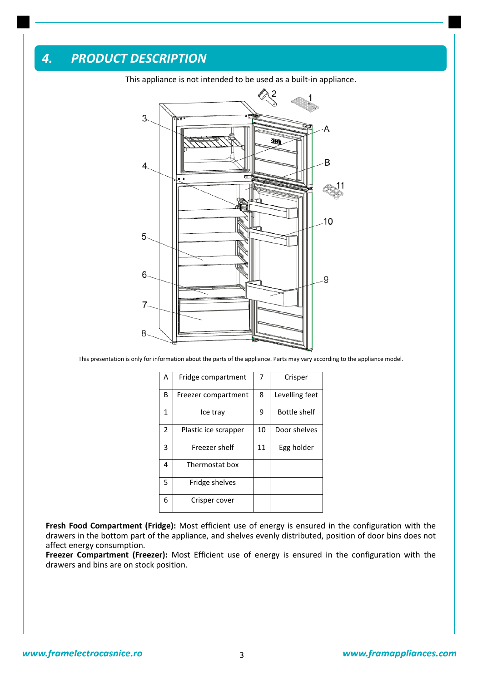### *4. PRODUCT DESCRIPTION*



This appliance is not intended to be used as a built-in appliance.

This presentation is only for information about the parts of the appliance. Parts may vary according to the appliance model.

| А | Fridge compartment   | 7  | Crisper             |
|---|----------------------|----|---------------------|
| В | Freezer compartment  | 8  | Levelling feet      |
| 1 | Ice trav             | 9  | <b>Bottle shelf</b> |
| 2 | Plastic ice scrapper | 10 | Door shelves        |
| 3 | Freezer shelf        | 11 | Egg holder          |
| 4 | Thermostat box       |    |                     |
| 5 | Fridge shelves       |    |                     |
| 6 | Crisper cover        |    |                     |

**Fresh Food Compartment (Fridge):** Most efficient use of energy is ensured in the configuration with the drawers in the bottom part of the appliance, and shelves evenly distributed, position of door bins does not affect energy consumption.

**Freezer Compartment (Freezer):** Most Efficient use of energy is ensured in the configuration with the drawers and bins are on stock position.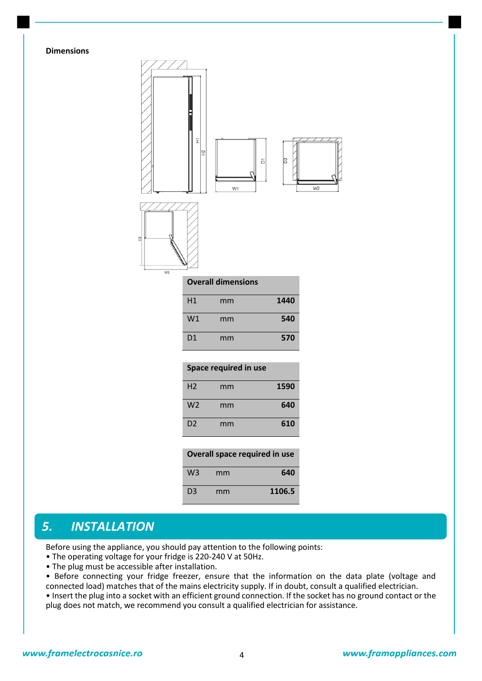### **Dimensions**



| H1             | mm | 1440 |
|----------------|----|------|
| W1             | mm | 540  |
| D <sub>1</sub> | mm | 570  |

|  | Space required in use |  |
|--|-----------------------|--|
|--|-----------------------|--|

| H <sub>2</sub> | mm | 1590 |
|----------------|----|------|
| W <sub>2</sub> | mm | 640  |
| D <sub>2</sub> | mm | 610  |

| Overall space required in use |    |        |  |
|-------------------------------|----|--------|--|
| W <sub>3</sub>                | mm | 640    |  |
| D <sub>3</sub>                | mm | 1106.5 |  |

### *5. INSTALLATION*

Before using the appliance, you should pay attention to the following points:

- The operating voltage for your fridge is 220-240 V at 50Hz.
- The plug must be accessible after installation.

• Before connecting your fridge freezer, ensure that the information on the data plate (voltage and connected load) matches that of the mains electricity supply. If in doubt, consult a qualified electrician. • Insert the plug into a socket with an efficient ground connection. If the socket has no ground contact or the plug does not match, we recommend you consult a qualified electrician for assistance.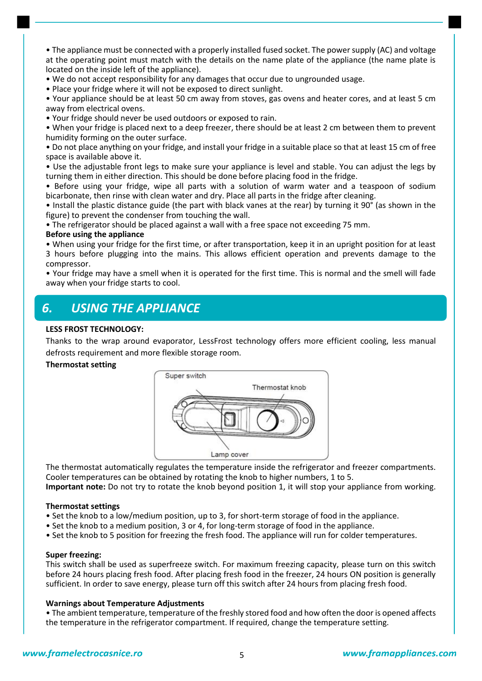• The appliance must be connected with a properly installed fused socket. The power supply (AC) and voltage at the operating point must match with the details on the name plate of the appliance (the name plate is located on the inside left of the appliance).

• We do not accept responsibility for any damages that occur due to ungrounded usage.

• Place your fridge where it will not be exposed to direct sunlight.

• Your appliance should be at least 50 cm away from stoves, gas ovens and heater cores, and at least 5 cm away from electrical ovens.

• Your fridge should never be used outdoors or exposed to rain.

• When your fridge is placed next to a deep freezer, there should be at least 2 cm between them to prevent humidity forming on the outer surface.

• Do not place anything on your fridge, and install your fridge in a suitable place so that at least 15 cm of free space is available above it.

• Use the adjustable front legs to make sure your appliance is level and stable. You can adjust the legs by turning them in either direction. This should be done before placing food in the fridge.

• Before using your fridge, wipe all parts with a solution of warm water and a teaspoon of sodium bicarbonate, then rinse with clean water and dry. Place all parts in the fridge after cleaning.

• Install the plastic distance guide (the part with black vanes at the rear) by turning it 90° (as shown in the figure) to prevent the condenser from touching the wall.

• The refrigerator should be placed against a wall with a free space not exceeding 75 mm.

### **Before using the appliance**

• When using your fridge for the first time, or after transportation, keep it in an upright position for at least 3 hours before plugging into the mains. This allows efficient operation and prevents damage to the compressor.

• Your fridge may have a smell when it is operated for the first time. This is normal and the smell will fade away when your fridge starts to cool.

### *6. USING THE APPLIANCE*

### **LESS FROST TECHNOLOGY:**

Thanks to the wrap around evaporator, LessFrost technology offers more efficient cooling, less manual defrosts requirement and more flexible storage room.

#### **Thermostat setting**



The thermostat automatically regulates the temperature inside the refrigerator and freezer compartments. Cooler temperatures can be obtained by rotating the knob to higher numbers, 1 to 5. **Important note:** Do not try to rotate the knob beyond position 1, it will stop your appliance from working.

#### **Thermostat settings**

- Set the knob to a low/medium position, up to 3, for short-term storage of food in the appliance.
- Set the knob to a medium position, 3 or 4, for long-term storage of food in the appliance.
- Set the knob to 5 position for freezing the fresh food. The appliance will run for colder temperatures.

#### **Super freezing:**

This switch shall be used as superfreeze switch. For maximum freezing capacity, please turn on this switch before 24 hours placing fresh food. After placing fresh food in the freezer, 24 hours ON position is generally sufficient. In order to save energy, please turn off this switch after 24 hours from placing fresh food.

### **Warnings about Temperature Adjustments**

• The ambient temperature, temperature of the freshly stored food and how often the door is opened affects the temperature in the refrigerator compartment. If required, change the temperature setting.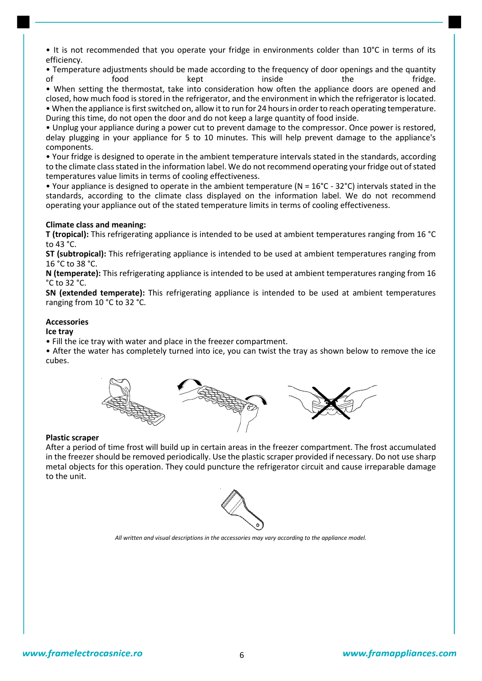• It is not recommended that you operate your fridge in environments colder than 10°C in terms of its efficiency.

• Temperature adjustments should be made according to the frequency of door openings and the quantity<br>of the the fridge. of food kept inside the fridge.

• When setting the thermostat, take into consideration how often the appliance doors are opened and closed, how much food is stored in the refrigerator, and the environment in which the refrigerator is located. • When the appliance is first switched on, allow it to run for 24 hours in order to reach operating temperature. During this time, do not open the door and do not keep a large quantity of food inside.

• Unplug your appliance during a power cut to prevent damage to the compressor. Once power is restored, delay plugging in your appliance for 5 to 10 minutes. This will help prevent damage to the appliance's components.

• Your fridge is designed to operate in the ambient temperature intervals stated in the standards, according to the climate class stated in the information label. We do not recommend operating your fridge out of stated temperatures value limits in terms of cooling effectiveness.

• Your appliance is designed to operate in the ambient temperature (N = 16°C - 32°C) intervals stated in the standards, according to the climate class displayed on the information label. We do not recommend operating your appliance out of the stated temperature limits in terms of cooling effectiveness.

### **Climate class and meaning:**

**T (tropical):** This refrigerating appliance is intended to be used at ambient temperatures ranging from 16 °C to 43 °C.

**ST (subtropical):** This refrigerating appliance is intended to be used at ambient temperatures ranging from 16 °C to 38 °C.

**N (temperate):** This refrigerating appliance is intended to be used at ambient temperatures ranging from 16 °C to 32 °C.

**SN (extended temperate):** This refrigerating appliance is intended to be used at ambient temperatures ranging from 10 °C to 32 °C.

### **Accessories**

**Ice tray** 

• Fill the ice tray with water and place in the freezer compartment.

• After the water has completely turned into ice, you can twist the tray as shown below to remove the ice cubes.



#### **Plastic scraper**

After a period of time frost will build up in certain areas in the freezer compartment. The frost accumulated in the freezer should be removed periodically. Use the plastic scraper provided if necessary. Do not use sharp metal objects for this operation. They could puncture the refrigerator circuit and cause irreparable damage to the unit.



*All written and visual descriptions in the accessories may vary according to the appliance model.*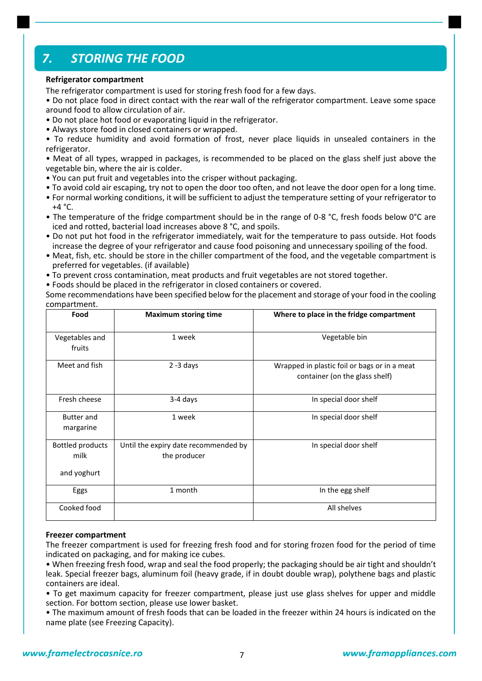### *7. STORING THE FOOD*

### **Refrigerator compartment**

The refrigerator compartment is used for storing fresh food for a few days.

• Do not place food in direct contact with the rear wall of the refrigerator compartment. Leave some space around food to allow circulation of air.

- Do not place hot food or evaporating liquid in the refrigerator.
- Always store food in closed containers or wrapped.

• To reduce humidity and avoid formation of frost, never place liquids in unsealed containers in the refrigerator.

• Meat of all types, wrapped in packages, is recommended to be placed on the glass shelf just above the vegetable bin, where the air is colder.

- You can put fruit and vegetables into the crisper without packaging.
- To avoid cold air escaping, try not to open the door too often, and not leave the door open for a long time.
- For normal working conditions, it will be sufficient to adjust the temperature setting of your refrigerator to  $+4 °C$ .
- The temperature of the fridge compartment should be in the range of 0-8 °C, fresh foods below 0°C are iced and rotted, bacterial load increases above 8 °C, and spoils.
- Do not put hot food in the refrigerator immediately, wait for the temperature to pass outside. Hot foods increase the degree of your refrigerator and cause food poisoning and unnecessary spoiling of the food.
- Meat, fish, etc. should be store in the chiller compartment of the food, and the vegetable compartment is preferred for vegetables. (if available)
- To prevent cross contamination, meat products and fruit vegetables are not stored together.
- Foods should be placed in the refrigerator in closed containers or covered.

Some recommendations have been specified below for the placement and storage of your food in the cooling compartment.

| Food                                           | <b>Maximum storing time</b>                          | Where to place in the fridge compartment                                       |  |
|------------------------------------------------|------------------------------------------------------|--------------------------------------------------------------------------------|--|
| Vegetables and<br>fruits                       | 1 week                                               | Vegetable bin                                                                  |  |
| Meet and fish                                  | $2 - 3$ days                                         | Wrapped in plastic foil or bags or in a meat<br>container (on the glass shelf) |  |
| Fresh cheese                                   | 3-4 days                                             | In special door shelf                                                          |  |
| <b>Butter and</b><br>margarine                 | 1 week                                               | In special door shelf                                                          |  |
| <b>Bottled products</b><br>milk<br>and yoghurt | Until the expiry date recommended by<br>the producer | In special door shelf                                                          |  |
| Eggs                                           | 1 month                                              | In the egg shelf                                                               |  |
| Cooked food                                    |                                                      | All shelves                                                                    |  |

### **Freezer compartment**

The freezer compartment is used for freezing fresh food and for storing frozen food for the period of time indicated on packaging, and for making ice cubes.

• When freezing fresh food, wrap and seal the food properly; the packaging should be air tight and shouldn't leak. Special freezer bags, aluminum foil (heavy grade, if in doubt double wrap), polythene bags and plastic containers are ideal.

• To get maximum capacity for freezer compartment, please just use glass shelves for upper and middle section. For bottom section, please use lower basket.

• The maximum amount of fresh foods that can be loaded in the freezer within 24 hours is indicated on the name plate (see Freezing Capacity).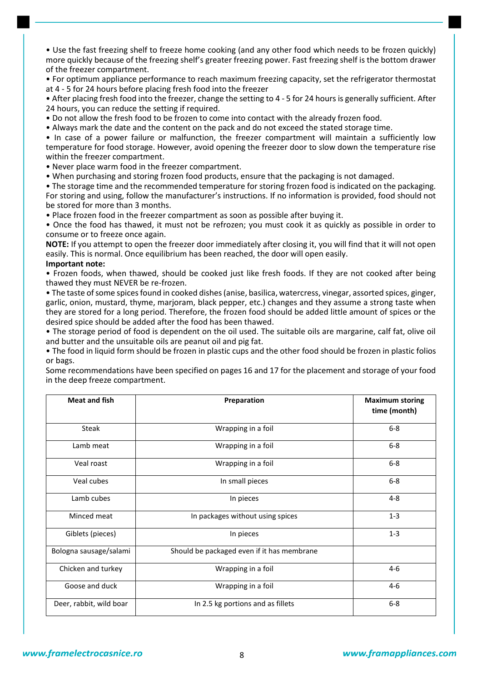• Use the fast freezing shelf to freeze home cooking (and any other food which needs to be frozen quickly) more quickly because of the freezing shelf's greater freezing power. Fast freezing shelf is the bottom drawer of the freezer compartment.

• For optimum appliance performance to reach maximum freezing capacity, set the refrigerator thermostat at 4 - 5 for 24 hours before placing fresh food into the freezer

• After placing fresh food into the freezer, change the setting to 4 - 5 for 24 hours is generally sufficient. After 24 hours, you can reduce the setting if required.

• Do not allow the fresh food to be frozen to come into contact with the already frozen food.

• Always mark the date and the content on the pack and do not exceed the stated storage time.

• In case of a power failure or malfunction, the freezer compartment will maintain a sufficiently low temperature for food storage. However, avoid opening the freezer door to slow down the temperature rise within the freezer compartment.

• Never place warm food in the freezer compartment.

• When purchasing and storing frozen food products, ensure that the packaging is not damaged.

• The storage time and the recommended temperature for storing frozen food is indicated on the packaging. For storing and using, follow the manufacturer's instructions. If no information is provided, food should not be stored for more than 3 months.

• Place frozen food in the freezer compartment as soon as possible after buying it.

• Once the food has thawed, it must not be refrozen; you must cook it as quickly as possible in order to consume or to freeze once again.

**NOTE:** If you attempt to open the freezer door immediately after closing it, you will find that it will not open easily. This is normal. Once equilibrium has been reached, the door will open easily.

#### **Important note:**

• Frozen foods, when thawed, should be cooked just like fresh foods. If they are not cooked after being thawed they must NEVER be re-frozen.

• The taste of some spices found in cooked dishes (anise, basilica, watercress, vinegar, assorted spices, ginger, garlic, onion, mustard, thyme, marjoram, black pepper, etc.) changes and they assume a strong taste when they are stored for a long period. Therefore, the frozen food should be added little amount of spices or the desired spice should be added after the food has been thawed.

• The storage period of food is dependent on the oil used. The suitable oils are margarine, calf fat, olive oil and butter and the unsuitable oils are peanut oil and pig fat.

• The food in liquid form should be frozen in plastic cups and the other food should be frozen in plastic folios or bags.

Some recommendations have been specified on pages 16 and 17 for the placement and storage of your food in the deep freeze compartment.

| <b>Meat and fish</b>    | Preparation                                | <b>Maximum storing</b><br>time (month) |
|-------------------------|--------------------------------------------|----------------------------------------|
| <b>Steak</b>            | Wrapping in a foil                         | $6 - 8$                                |
| Lamb meat               | Wrapping in a foil                         | $6 - 8$                                |
| Veal roast              | Wrapping in a foil                         | $6-8$                                  |
| Veal cubes              | In small pieces                            | $6-8$                                  |
| Lamb cubes              | In pieces                                  | $4 - 8$                                |
| Minced meat             | In packages without using spices           | $1 - 3$                                |
| Giblets (pieces)        | In pieces                                  | $1 - 3$                                |
| Bologna sausage/salami  | Should be packaged even if it has membrane |                                        |
| Chicken and turkey      | Wrapping in a foil                         | $4-6$                                  |
| Goose and duck          | Wrapping in a foil                         | $4 - 6$                                |
| Deer, rabbit, wild boar | In 2.5 kg portions and as fillets          | $6-8$                                  |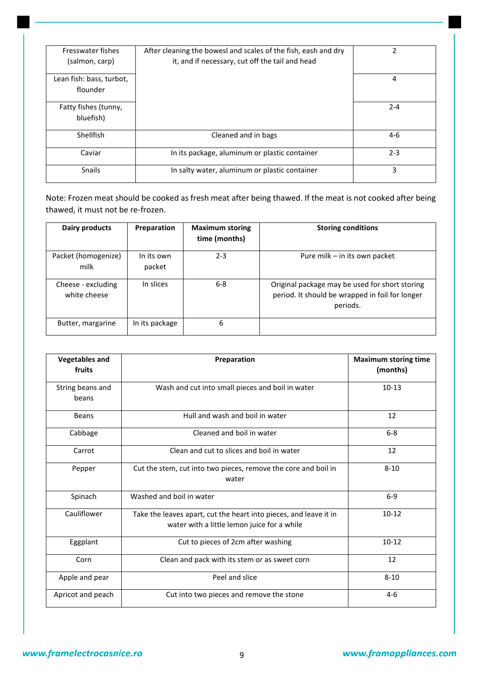| Fresswater fishes        | After cleaning the bowesl and scales of the fish, eash and dry | $\mathfrak z$ |
|--------------------------|----------------------------------------------------------------|---------------|
| (salmon, carp)           | it, and if necessary, cut off the tail and head                |               |
|                          |                                                                |               |
| Lean fish: bass, turbot, |                                                                | 4             |
|                          |                                                                |               |
| flounder                 |                                                                |               |
|                          |                                                                |               |
| Fatty fishes (tunny,     |                                                                | $2 - 4$       |
| bluefish)                |                                                                |               |
|                          |                                                                |               |
| Shellfish                | Cleaned and in bags                                            | $4-6$         |
|                          |                                                                |               |
| Caviar                   | In its package, aluminum or plastic container                  | $2 - 3$       |
|                          |                                                                |               |
| <b>Snails</b>            | In salty water, aluminum or plastic container                  | 3             |
|                          |                                                                |               |

Note: Frozen meat should be cooked as fresh meat after being thawed. If the meat is not cooked after being thawed, it must not be re-frozen.

| Dairy products                     | Preparation          | <b>Maximum storing</b><br>time (months) | <b>Storing conditions</b>                                                                                     |
|------------------------------------|----------------------|-----------------------------------------|---------------------------------------------------------------------------------------------------------------|
| Packet (homogenize)<br>milk        | In its own<br>packet | $2 - 3$                                 | Pure milk - in its own packet                                                                                 |
| Cheese - excluding<br>white cheese | In slices            | $6 - 8$                                 | Original package may be used for short storing<br>period. It should be wrapped in foil for longer<br>periods. |
| Butter, margarine                  | In its package       | 6                                       |                                                                                                               |

| <b>Vegetables and</b><br>fruits | Preparation                                                                                                      | <b>Maximum storing time</b><br>(months) |
|---------------------------------|------------------------------------------------------------------------------------------------------------------|-----------------------------------------|
| String beans and<br>beans       | Wash and cut into small pieces and boil in water                                                                 | $10-13$                                 |
| <b>Beans</b>                    | Hull and wash and boil in water                                                                                  | 12                                      |
| Cabbage                         | Cleaned and boil in water                                                                                        | $6-8$                                   |
| Carrot                          | Clean and cut to slices and boil in water                                                                        | 12                                      |
| Pepper                          | Cut the stem, cut into two pieces, remove the core and boil in<br>water                                          | $8 - 10$                                |
| Spinach                         | Washed and boil in water                                                                                         | $6-9$                                   |
| Cauliflower                     | Take the leaves apart, cut the heart into pieces, and leave it in<br>water with a little lemon juice for a while | $10 - 12$                               |
| Eggplant                        | Cut to pieces of 2cm after washing                                                                               | $10 - 12$                               |
| Corn                            | Clean and pack with its stem or as sweet corn                                                                    | 12                                      |
| Apple and pear                  | Peel and slice                                                                                                   | $8 - 10$                                |
| Apricot and peach               | Cut into two pieces and remove the stone                                                                         | $4 - 6$                                 |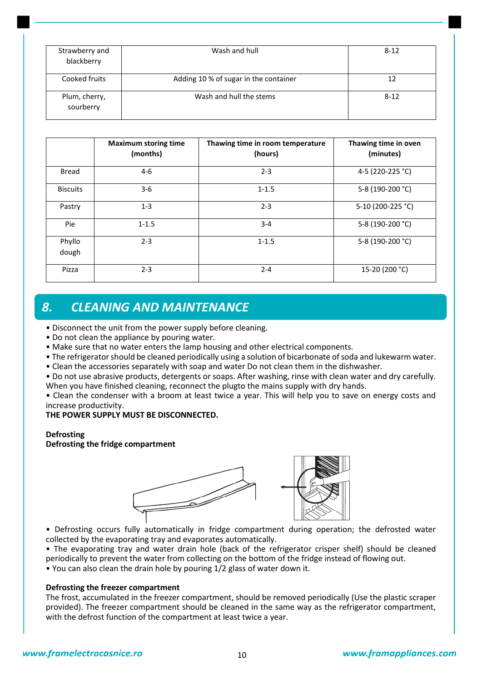| Strawberry and<br>blackberry | Wash and hull                         | $8 - 12$ |
|------------------------------|---------------------------------------|----------|
| Cooked fruits                | Adding 10 % of sugar in the container | 12       |
| Plum, cherry,<br>sourberry   | Wash and hull the stems               | $8 - 12$ |

|                 | <b>Maximum storing time</b><br>(months) | Thawing time in room temperature<br>(hours) | Thawing time in oven<br>(minutes) |
|-----------------|-----------------------------------------|---------------------------------------------|-----------------------------------|
| <b>Bread</b>    | $4-6$                                   | $2 - 3$                                     | 4-5 (220-225 °C)                  |
| <b>Biscuits</b> | $3-6$                                   | $1 - 1.5$                                   | 5-8 (190-200 °C)                  |
| Pastry          | $1 - 3$                                 | $2 - 3$                                     | 5-10 (200-225 °C)                 |
| Pie             | $1 - 1.5$                               | $3 - 4$                                     | 5-8 (190-200 °C)                  |
| Phyllo<br>dough | $2 - 3$                                 | $1 - 1.5$                                   | 5-8 (190-200 °C)                  |
| Pizza           | $2 - 3$                                 | $2 - 4$                                     | 15-20 (200 °C)                    |

### *8. CLEANING AND MAINTENANCE*

- Disconnect the unit from the power supply before cleaning.
- Do not clean the appliance by pouring water.
- Make sure that no water enters the lamp housing and other electrical components.
- The refrigerator should be cleaned periodically using a solution of bicarbonate of soda and lukewarm water.
- Clean the accessories separately with soap and water Do not clean them in the dishwasher.
- Do not use abrasive products, detergents or soaps. After washing, rinse with clean water and dry carefully. When you have finished cleaning, reconnect the plugto the mains supply with dry hands.

• Clean the condenser with a broom at least twice a year. This will help you to save on energy costs and increase productivity.

### **THE POWER SUPPLY MUST BE DISCONNECTED.**

### **Defrosting**

### **Defrosting the fridge compartment**



• Defrosting occurs fully automatically in fridge compartment during operation; the defrosted water collected by the evaporating tray and evaporates automatically.

• The evaporating tray and water drain hole (back of the refrigerator crisper shelf) should be cleaned periodically to prevent the water from collecting on the bottom of the fridge instead of flowing out. • You can also clean the drain hole by pouring 1/2 glass of water down it.

### **Defrosting the freezer compartment**

The frost, accumulated in the freezer compartment, should be removed periodically (Use the plastic scraper provided). The freezer compartment should be cleaned in the same way as the refrigerator compartment, with the defrost function of the compartment at least twice a year.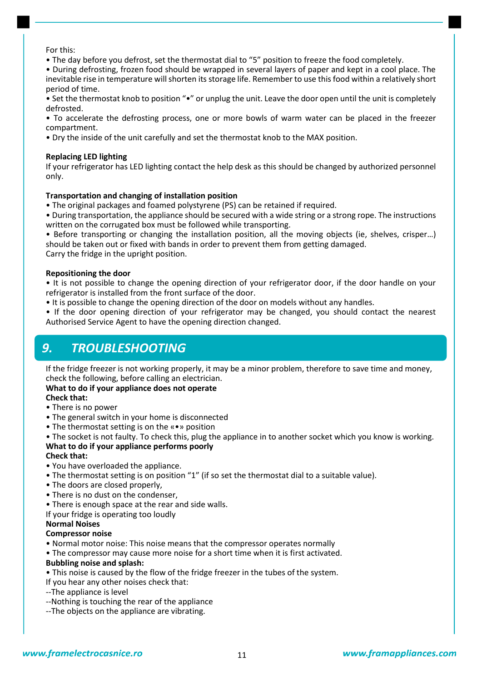For this:

• The day before you defrost, set the thermostat dial to "5" position to freeze the food completely.

• During defrosting, frozen food should be wrapped in several layers of paper and kept in a cool place. The inevitable rise in temperature will shorten its storage life. Remember to use this food within a relatively short period of time.

• Set the thermostat knob to position "•" or unplug the unit. Leave the door open until the unit is completely defrosted.

• To accelerate the defrosting process, one or more bowls of warm water can be placed in the freezer compartment.

• Dry the inside of the unit carefully and set the thermostat knob to the MAX position.

### **Replacing LED lighting**

If your refrigerator has LED lighting contact the help desk as this should be changed by authorized personnel only.

### **Transportation and changing of installation position**

• The original packages and foamed polystyrene (PS) can be retained if required.

• During transportation, the appliance should be secured with a wide string or a strong rope. The instructions written on the corrugated box must be followed while transporting.

• Before transporting or changing the installation position, all the moving objects (ie, shelves, crisper…) should be taken out or fixed with bands in order to prevent them from getting damaged. Carry the fridge in the upright position.

### **Repositioning the door**

• It is not possible to change the opening direction of your refrigerator door, if the door handle on your refrigerator is installed from the front surface of the door.

• It is possible to change the opening direction of the door on models without any handles.

• If the door opening direction of your refrigerator may be changed, you should contact the nearest Authorised Service Agent to have the opening direction changed.

### *9. TROUBLESHOOTING*

If the fridge freezer is not working properly, it may be a minor problem, therefore to save time and money, check the following, before calling an electrician.

### **What to do if your appliance does not operate**

**Check that:**

- There is no power
- The general switch in your home is disconnected
- The thermostat setting is on the «•» position

• The socket is not faulty. To check this, plug the appliance in to another socket which you know is working. **What to do if your appliance performs poorly**

### **Check that:**

- You have overloaded the appliance.
- The thermostat setting is on position "1" (if so set the thermostat dial to a suitable value).
- The doors are closed properly,
- There is no dust on the condenser,
- There is enough space at the rear and side walls.
- If your fridge is operating too loudly

#### **Normal Noises**

#### **Compressor noise**

- Normal motor noise: This noise means that the compressor operates normally
- The compressor may cause more noise for a short time when it is first activated.

### **Bubbling noise and splash:**

- This noise is caused by the flow of the fridge freezer in the tubes of the system.
- If you hear any other noises check that:
- --The appliance is level
- --Nothing is touching the rear of the appliance
- --The objects on the appliance are vibrating.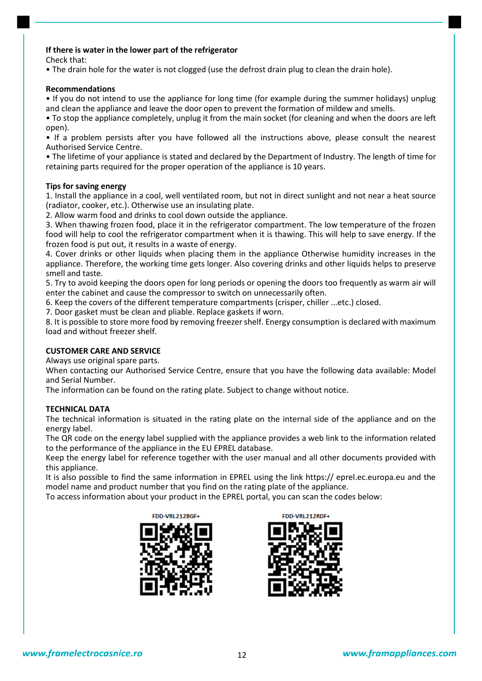### **If there is water in the lower part of the refrigerator**

Check that:

• The drain hole for the water is not clogged (use the defrost drain plug to clean the drain hole).

### **Recommendations**

• If you do not intend to use the appliance for long time (for example during the summer holidays) unplug and clean the appliance and leave the door open to prevent the formation of mildew and smells.

• To stop the appliance completely, unplug it from the main socket (for cleaning and when the doors are left open).

• If a problem persists after you have followed all the instructions above, please consult the nearest Authorised Service Centre.

• The lifetime of your appliance is stated and declared by the Department of Industry. The length of time for retaining parts required for the proper operation of the appliance is 10 years.

### **Tips for saving energy**

1. Install the appliance in a cool, well ventilated room, but not in direct sunlight and not near a heat source (radiator, cooker, etc.). Otherwise use an insulating plate.

2. Allow warm food and drinks to cool down outside the appliance.

3. When thawing frozen food, place it in the refrigerator compartment. The low temperature of the frozen food will help to cool the refrigerator compartment when it is thawing. This will help to save energy. If the frozen food is put out, it results in a waste of energy.

4. Cover drinks or other liquids when placing them in the appliance Otherwise humidity increases in the appliance. Therefore, the working time gets longer. Also covering drinks and other liquids helps to preserve smell and taste.

5. Try to avoid keeping the doors open for long periods or opening the doors too frequently as warm air will enter the cabinet and cause the compressor to switch on unnecessarily often.

6. Keep the covers of the different temperature compartments (crisper, chiller ...etc.) closed.

7. Door gasket must be clean and pliable. Replace gaskets if worn.

8. It is possible to store more food by removing freezer shelf. Energy consumption is declared with maximum load and without freezer shelf.

### **CUSTOMER CARE AND SERVICE**

Always use original spare parts.

When contacting our Authorised Service Centre, ensure that you have the following data available: Model and Serial Number.

The information can be found on the rating plate. Subject to change without notice.

### **TECHNICAL DATA**

The technical information is situated in the rating plate on the internal side of the appliance and on the energy label.

The QR code on the energy label supplied with the appliance provides a web link to the information related to the performance of the appliance in the EU EPREL database.

Keep the energy label for reference together with the user manual and all other documents provided with this appliance.

It is also possible to find the same information in EPREL using the link https:// eprel.ec.europa.eu and the model name and product number that you find on the rating plate of the appliance.

To access information about your product in the EPREL portal, you can scan the codes below:



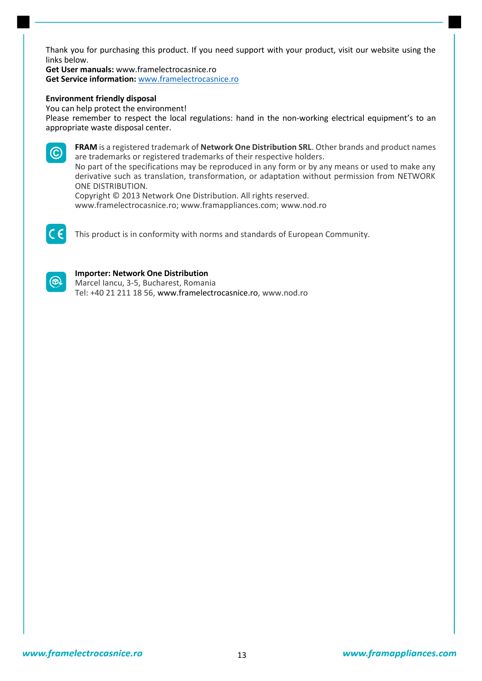Thank you for purchasing this product. If you need support with your product, visit our website using the links below.

**Get User manuals:** www.framelectrocasnice.ro **Get Service information:** [www.framelectrocasnice.ro](http://www.framelectrocasnice.ro/)

#### **Environment friendly disposal**

You can help protect the environment!

Please remember to respect the local regulations: hand in the non-working electrical equipment's to an appropriate waste disposal center.



**FRAM** is a registered trademark of **Network One Distribution SRL**. Other brands and product names are trademarks or registered trademarks of their respective holders.

No part of the specifications may be reproduced in any form or by any means or used to make any derivative such as translation, transformation, or adaptation without permission from NETWORK ONE DISTRIBUTION.

Copyright © 2013 Network One Distribution. All rights reserved.

www.framelectrocasnice.ro; www.framappliances.com; [www.nod.ro](http://www.nod.ro/)



This product is in conformity with norms and standards of European Community.



### **Importer: Network One Distribution**

Marcel Iancu, 3-5, Bucharest, Romania Tel: +40 21 211 18 56, www.framelectrocasnice.ro, [www.nod.ro](http://www.nod.ro/)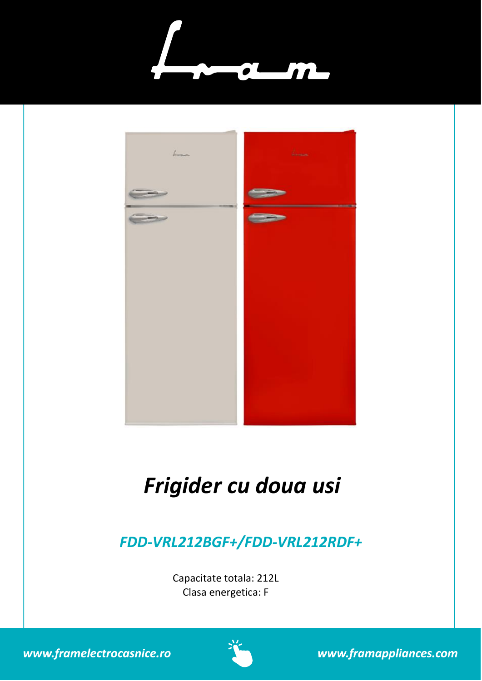



# *Frigider cu doua usi*

## *FDD-VRL212BGF+/FDD-VRL212RDF+*

Capacitate totala: 212L Clasa energetica: F





www.framappliances.com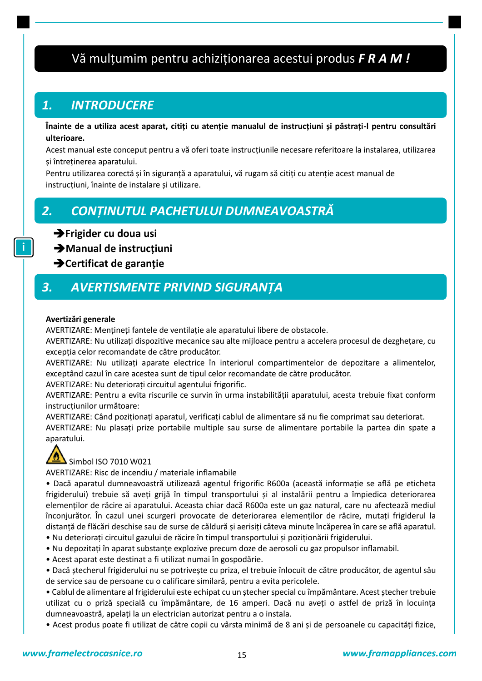## Vă mulţumim pentru achiziţionarea acestui produs *F R A M !*

### *1. INTRODUCERE*

**Înainte de a utiliza acest aparat, citiți cu atenție manualul de instrucțiuni și păstrați-l pentru consultări ulterioare.**

Acest manual este conceput pentru a vă oferi toate instrucţiunile necesare referitoare la instalarea, utilizarea şi întreţinerea aparatului.

Pentru utilizarea corectă și în siguranță a aparatului, vă rugam să citiți cu atenție acest manual de instrucţiuni, înainte de instalare şi utilizare.

### *2. CONȚINUTUL PACHETULUI DUMNEAVOASTRĂ*

➔**Frigider cu doua usi**

➔**Manual de instrucțiuni** 

➔**Certificat de garanție**

### *3. AVERTISMENTE PRIVIND SIGURANȚA*

### **Avertizări generale**

AVERTIZARE: Menţineţi fantele de ventilaţie ale aparatului libere de obstacole.

AVERTIZARE: Nu utilizaţi dispozitive mecanice sau alte mijloace pentru a accelera procesul de dezgheţare, cu excepția celor recomandate de către producător.

AVERTIZARE: Nu utilizaţi aparate electrice în interiorul compartimentelor de depozitare a alimentelor, exceptând cazul în care acestea sunt de tipul celor recomandate de către producător.

AVERTIZARE: Nu deterioraţi circuitul agentului frigorific.

AVERTIZARE: Pentru a evita riscurile ce survin în urma instabilităţii aparatului, acesta trebuie fixat conform instructiunilor următoare:

AVERTIZARE: Când poziţionaţi aparatul, verificaţi cablul de alimentare să nu fie comprimat sau deteriorat. AVERTIZARE: Nu plasaţi prize portabile multiple sau surse de alimentare portabile la partea din spate a aparatului.



### Simbol ISO 7010 W021

AVERTIZARE: Risc de incendiu / materiale inflamabile

• Dacă aparatul dumneavoastră utilizează agentul frigorific R600a (această informație se află pe eticheta frigiderului) trebuie să aveți grijă în timpul transportului și al instalării pentru a împiedica deteriorarea elemenţilor de răcire ai aparatului. Aceasta chiar dacă R600a este un gaz natural, care nu afectează mediul înconjurător. În cazul unei scurgeri provocate de deteriorarea elemenţilor de răcire, mutaţi frigiderul la distanţă de flăcări deschise sau de surse de căldură şi aerisiţi câteva minute încăperea în care se află aparatul. • Nu deterioraţi circuitul gazului de răcire în timpul transportului şi poziţionării frigiderului.

- Nu depozitaţi în aparat substanţe explozive precum doze de aerosoli cu gaz propulsor inflamabil.
- Acest aparat este destinat a fi utilizat numai în gospodărie.

• Dacă ştecherul frigiderului nu se potriveşte cu priza, el trebuie înlocuit de către producător, de agentul său de service sau de persoane cu o calificare similară, pentru a evita pericolele.

• Cablul de alimentare al frigiderului este echipat cu un ştecher special cu împământare. Acest ştecher trebuie utilizat cu o priză specială cu împământare, de 16 amperi. Dacă nu aveţi o astfel de priză în locuinţa dumneavoastră, apelaţi la un electrician autorizat pentru a o instala.

• Acest produs poate fi utilizat de către copii cu vârsta minimă de 8 ani şi de persoanele cu capacităţi fizice,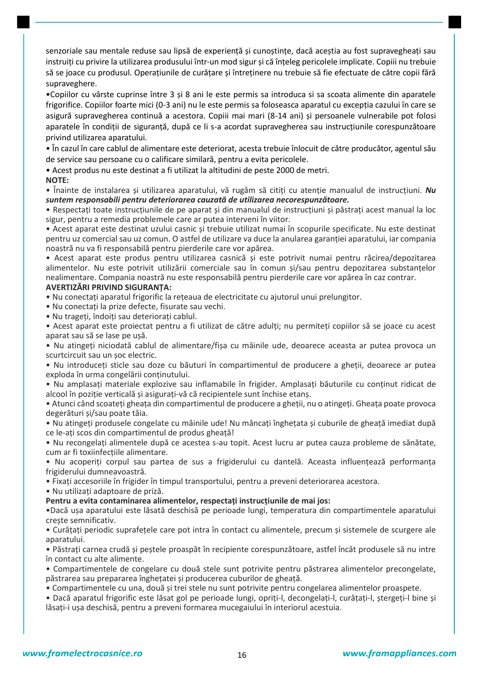senzoriale sau mentale reduse sau lipsă de experiență și cunoștințe, dacă aceștia au fost supravegheați sau instruiţi cu privire la utilizarea produsului într-un mod sigur şi că înţeleg pericolele implicate. Copiii nu trebuie să se joace cu produsul. Operatiunile de curătare și întreținere nu trebuie să fie efectuate de către copii fără supraveghere.

•Copiilor cu vârste cuprinse între 3 şi 8 ani le este permis sa introduca si sa scoata alimente din aparatele frigorifice. Copiilor foarte mici (0-3 ani) nu le este permis sa foloseasca aparatul cu excepţia cazului în care se asigură supravegherea continuă a acestora. Copiii mai mari (8-14 ani) şi persoanele vulnerabile pot folosi aparatele în condiţii de siguranţă, după ce li s-a acordat supravegherea sau instrucţiunile corespunzătoare privind utilizarea aparatului.

• În cazul în care cablul de alimentare este deteriorat, acesta trebuie înlocuit de către producător, agentul său de service sau persoane cu o calificare similară, pentru a evita pericolele.

• Acest produs nu este destinat a fi utilizat la altitudini de peste 2000 de metri.

### **NOTE:**

• Înainte de instalarea şi utilizarea aparatului, vă rugăm să citiţi cu atenţie manualul de instrucţiuni. *Nu suntem responsabili pentru deteriorarea cauzată de utilizarea necorespunzătoare.*

• Respectati toate instructiunile de pe aparat și din manualul de instrucțiuni și păstrați acest manual la loc sigur, pentru a remedia problemele care ar putea interveni în viitor.

• Acest aparat este destinat uzului casnic şi trebuie utilizat numai în scopurile specificate. Nu este destinat pentru uz comercial sau uz comun. O astfel de utilizare va duce la anularea garantiei aparatului, iar compania noastră nu va fi responsabilă pentru pierderile care vor apărea.

• Acest aparat este produs pentru utilizarea casnică şi este potrivit numai pentru răcirea/depozitarea alimentelor. Nu este potrivit utilizării comerciale sau în comun și/sau pentru depozitarea substanțelor nealimentare. Compania noastră nu este responsabilă pentru pierderile care vor apărea în caz contrar.

### **AVERTIZĂRI PRIVIND SIGURANȚA:**

• Nu conectati aparatul frigorific la reteaua de electricitate cu ajutorul unui prelungitor.

• Nu conectati la prize defecte, fisurate sau vechi.

• Nu trageti, îndoiti sau deteriorati cablul.

• Acest aparat este proiectat pentru a fi utilizat de către adulţi; nu permiteţi copiilor să se joace cu acest aparat sau să se lase pe uşă.

• Nu atingeţi niciodată cablul de alimentare/fişa cu mâinile ude, deoarece aceasta ar putea provoca un scurtcircuit sau un şoc electric.

• Nu introduceţi sticle sau doze cu băuturi în compartimentul de producere a gheţii, deoarece ar putea exploda în urma congelării continutului.

• Nu amplasaţi materiale explozive sau inflamabile în frigider. Amplasaţi băuturile cu conţinut ridicat de alcool în poziţie verticală şi asiguraţi-vă că recipientele sunt închise etanş.

• Atunci când scoateţi gheaţa din compartimentul de producere a gheţii, nu o atingeţi. Gheaţa poate provoca degerături şi/sau poate tăia.

• Nu atingeţi produsele congelate cu mâinile ude! Nu mâncaţi îngheţata şi cuburile de gheaţă imediat după ce le-aţi scos din compartimentul de produs gheaţă!

• Nu recongelaţi alimentele după ce acestea s-au topit. Acest lucru ar putea cauza probleme de sănătate, cum ar fi toxiinfecţiile alimentare.

• Nu acoperiţi corpul sau partea de sus a frigiderului cu dantelă. Aceasta influenţează performanţa frigiderului dumneavoastră.

• Fixaţi accesoriile în frigider în timpul transportului, pentru a preveni deteriorarea acestora.

• Nu utilizaţi adaptoare de priză.

**Pentru a evita contaminarea alimentelor, respectați instrucțiunile de mai jos:**

•Dacă uşa aparatului este lăsată deschisă pe perioade lungi, temperatura din compartimentele aparatului creşte semnificativ.

• Curăţaţi periodic suprafeţele care pot intra în contact cu alimentele, precum şi sistemele de scurgere ale aparatului.

• Păstraţi carnea crudă şi peştele proaspăt în recipiente corespunzătoare, astfel încât produsele să nu intre în contact cu alte alimente.

• Compartimentele de congelare cu două stele sunt potrivite pentru păstrarea alimentelor precongelate, păstrarea sau prepararea îngheţatei şi producerea cuburilor de gheaţă.

• Compartimentele cu una, două şi trei stele nu sunt potrivite pentru congelarea alimentelor proaspete.

• Dacă aparatul frigorific este lăsat gol pe perioade lungi, opriţi-l, decongelaţi-l, curăţaţi-l, ştergeţi-l bine şi lăsaţi-i uşa deschisă, pentru a preveni formarea mucegaiului în interiorul acestuia.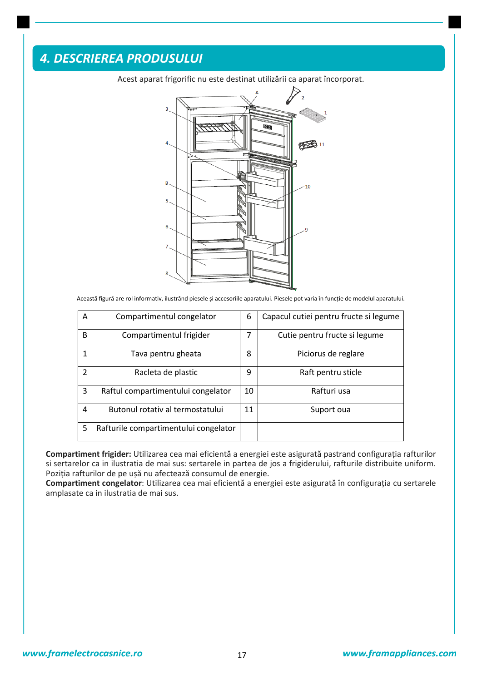### *4. DESCRIEREA PRODUSULUI*



Acest aparat frigorific nu este destinat utilizării ca aparat încorporat.

Această figură are rol informativ, ilustrând piesele şi accesoriile aparatului. Piesele pot varia în funcţie de modelul aparatului.

| A             | Compartimentul congelator             | 6  | Capacul cutiei pentru fructe si legume |
|---------------|---------------------------------------|----|----------------------------------------|
| B             | Compartimentul frigider               | 7  | Cutie pentru fructe si legume          |
| 1             | Tava pentru gheata                    | 8  | Piciorus de reglare                    |
| $\mathcal{P}$ | Racleta de plastic                    | 9  | Raft pentru sticle                     |
| 3             | Raftul compartimentului congelator    | 10 | Rafturi usa                            |
| 4             | Butonul rotativ al termostatului      | 11 | Suport oua                             |
| 5             | Rafturile compartimentului congelator |    |                                        |

**Compartiment frigider:** Utilizarea cea mai eficientă a energiei este asigurată pastrand configuraţia rafturilor si sertarelor ca in ilustratia de mai sus: sertarele in partea de jos a frigiderului, rafturile distribuite uniform. Poziţia rafturilor de pe uşă nu afectează consumul de energie.

**Compartiment congelator**: Utilizarea cea mai eficientă a energiei este asigurată în configuraţia cu sertarele amplasate ca in ilustratia de mai sus.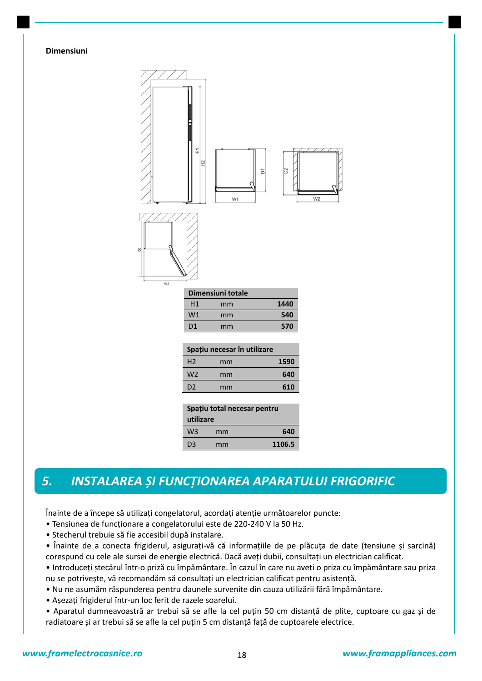### **Dimensiuni**



### *5. INSTALAREA ȘI FUNCȚIONAREA APARATULUI FRIGORIFIC*

Înainte de a începe să utilizaţi congelatorul, acordaţi atenţie următoarelor puncte:

- Tensiunea de funcţionare a congelatorului este de 220-240 V la 50 Hz.
- Stecherul trebuie să fie accesibil după instalare.
- Înainte de a conecta frigiderul, asiguraţi-vă că informaţiile de pe plăcuţa de date (tensiune şi sarcină) corespund cu cele ale sursei de energie electrică. Dacă aveți dubii, consultați un electrician calificat.

• Introduceţi ştecărul într-o priză cu împământare. În cazul în care nu aveti o priza cu împământare sau priza nu se potriveşte, vă recomandăm să consultaţi un electrician calificat pentru asistenţă.

• Nu ne asumăm răspunderea pentru daunele survenite din cauza utilizării fără împământare.

- Aşezaţi frigiderul într-un loc ferit de razele soarelui.
- Aparatul dumneavoastră ar trebui să se afle la cel puţin 50 cm distanţă de plite, cuptoare cu gaz şi de radiatoare și ar trebui să se afle la cel puțin 5 cm distanță față de cuptoarele electrice.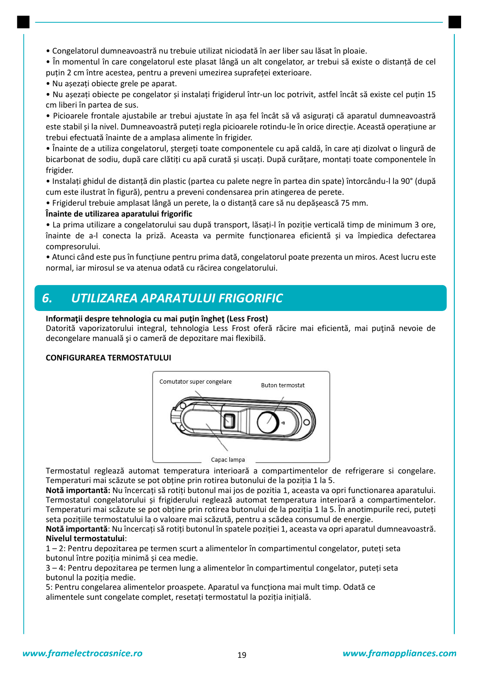• Congelatorul dumneavoastră nu trebuie utilizat niciodată în aer liber sau lăsat în ploaie.

• În momentul în care congelatorul este plasat lângă un alt congelator, ar trebui să existe o distanţă de cel putin 2 cm între acestea, pentru a preveni umezirea suprafetei exterioare.

• Nu aşezaţi obiecte grele pe aparat.

• Nu așezați obiecte pe congelator și instalați frigiderul într-un loc potrivit, astfel încât să existe cel puțin 15 cm liberi în partea de sus.

• Picioarele frontale ajustabile ar trebui ajustate în aşa fel încât să vă asiguraţi că aparatul dumneavoastră este stabil şi la nivel. Dumneavoastră puteţi regla picioarele rotindu-le în orice direcţie. Această operaţiune ar trebui efectuată înainte de a amplasa alimente în frigider.

• Înainte de a utiliza congelatorul, ştergeţi toate componentele cu apă caldă, în care aţi dizolvat o lingură de bicarbonat de sodiu, după care clătiți cu apă curată și uscați. După curățare, montați toate componentele în frigider.

• Instalaţi ghidul de distanţă din plastic (partea cu palete negre în partea din spate) întorcându-l la 90° (după cum este ilustrat în figură), pentru a preveni condensarea prin atingerea de perete.

• Frigiderul trebuie amplasat lângă un perete, la o distanţă care să nu depăşească 75 mm.

### **Înainte de utilizarea aparatului frigorific**

• La prima utilizare a congelatorului sau după transport, lăsaţi-l în poziţie verticală timp de minimum 3 ore, înainte de a-l conecta la priză. Aceasta va permite funcționarea eficientă și va împiedica defectarea compresorului.

• Atunci când este pus în funcţiune pentru prima dată, congelatorul poate prezenta un miros. Acest lucru este normal, iar mirosul se va atenua odată cu răcirea congelatorului.

### *6. UTILIZAREA APARATULUI FRIGORIFIC*

### **Informaţii despre tehnologia cu mai puţin îngheţ (Less Frost)**

Datorită vaporizatorului integral, tehnologia Less Frost oferă răcire mai eficientă, mai puţină nevoie de decongelare manuală şi o cameră de depozitare mai flexibilă.

### **CONFIGURAREA TERMOSTATULUI**



Termostatul reglează automat temperatura interioară a compartimentelor de refrigerare si congelare. Temperaturi mai scăzute se pot obţine prin rotirea butonului de la poziţia 1 la 5.

**Notă importantă:** Nu încercaţi să rotiţi butonul mai jos de pozitia 1, aceasta va opri functionarea aparatului. Termostatul congelatorului şi frigiderului reglează automat temperatura interioară a compartimentelor. Temperaturi mai scăzute se pot obține prin rotirea butonului de la poziția 1 la 5. În anotimpurile reci, puteți seta pozițiile termostatului la o valoare mai scăzută, pentru a scădea consumul de energie.

Notă importantă: Nu încercați să rotiți butonul în spatele poziției 1, aceasta va opri aparatul dumneavoastră. **Nivelul termostatului**:

1 – 2: Pentru depozitarea pe termen scurt a alimentelor în compartimentul congelator, puteţi seta butonul între pozitia minimă și cea medie.

3 – 4: Pentru depozitarea pe termen lung a alimentelor în compartimentul congelator, puteţi seta butonul la pozitia medie.

5: Pentru congelarea alimentelor proaspete. Aparatul va funcţiona mai mult timp. Odată ce alimentele sunt congelate complet, resetaţi termostatul la poziţia iniţială.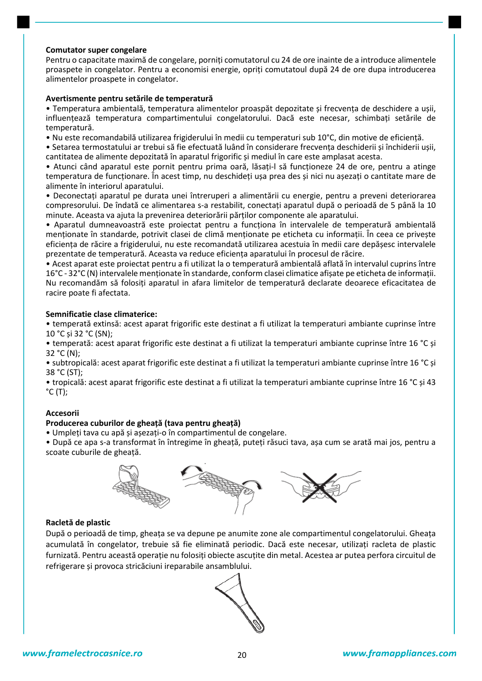#### **Comutator super congelare**

Pentru o capacitate maximă de congelare, porniti comutatorul cu 24 de ore inainte de a introduce alimentele proaspete in congelator. Pentru a economisi energie, opriţi comutatoul după 24 de ore dupa introducerea alimentelor proaspete in congelator.

### **Avertismente pentru setările de temperatură**

• Temperatura ambientală, temperatura alimentelor proaspăt depozitate şi frecvenţa de deschidere a uşii, influenţează temperatura compartimentului congelatorului. Dacă este necesar, schimbaţi setările de temperatură.

• Nu este recomandabilă utilizarea frigiderului în medii cu temperaturi sub 10°C, din motive de eficienţă.

• Setarea termostatului ar trebui să fie efectuată luând în considerare frecventa deschiderii si închiderii usii, cantitatea de alimente depozitată în aparatul frigorific şi mediul în care este amplasat acesta.

• Atunci când aparatul este pornit pentru prima oară, lăsaţi-l să funcţioneze 24 de ore, pentru a atinge temperatura de funcţionare. În acest timp, nu deschideţi uşa prea des şi nici nu aşezaţi o cantitate mare de alimente în interiorul aparatului.

• Deconectaţi aparatul pe durata unei întreruperi a alimentării cu energie, pentru a preveni deteriorarea compresorului. De îndată ce alimentarea s-a restabilit, conectaţi aparatul după o perioadă de 5 până la 10 minute. Aceasta va ajuta la prevenirea deteriorării părţilor componente ale aparatului.

• Aparatul dumneavoastră este proiectat pentru a funcţiona în intervalele de temperatură ambientală menţionate în standarde, potrivit clasei de climă menţionate pe eticheta cu informaţii. În ceea ce priveşte eficienţa de răcire a frigiderului, nu este recomandată utilizarea acestuia în medii care depăşesc intervalele prezentate de temperatură. Aceasta va reduce eficienţa aparatului în procesul de răcire.

• Acest aparat este proiectat pentru a fi utilizat la o temperatură ambientală aflată în intervalul cuprins între 16°C - 32°C (N) intervalele menţionate în standarde, conform clasei climatice afişate pe eticheta de informaţii. Nu recomandăm să folosiţi aparatul in afara limitelor de temperatură declarate deoarece eficacitatea de racire poate fi afectata.

### **Semnificatie clase climaterice:**

• temperată extinsă: acest aparat frigorific este destinat a fi utilizat la temperaturi ambiante cuprinse între 10 °C şi 32 °C (SN);

• temperată: acest aparat frigorific este destinat a fi utilizat la temperaturi ambiante cuprinse între 16 °C şi 32 °C (N);

• subtropicală: acest aparat frigorific este destinat a fi utilizat la temperaturi ambiante cuprinse între 16 °C şi 38 °C (ST);

• tropicală: acest aparat frigorific este destinat a fi utilizat la temperaturi ambiante cuprinse între 16 °C şi 43  $^{\circ}$ C (T);

### **Accesorii**

### **Producerea cuburilor de gheață (tava pentru gheață)**

• Umpleţi tava cu apă şi aşezaţi-o în compartimentul de congelare.

• După ce apa s-a transformat în întregime în gheaţă, puteţi răsuci tava, aşa cum se arată mai jos, pentru a scoate cuburile de gheaţă.



### **Racletă de plastic**

După o perioadă de timp, gheaţa se va depune pe anumite zone ale compartimentul congelatorului. Gheaţa acumulată în congelator, trebuie să fie eliminată periodic. Dacă este necesar, utilizați racleta de plastic furnizată. Pentru această operaţie nu folosiţi obiecte ascuţite din metal. Acestea ar putea perfora circuitul de refrigerare şi provoca stricăciuni ireparabile ansamblului.

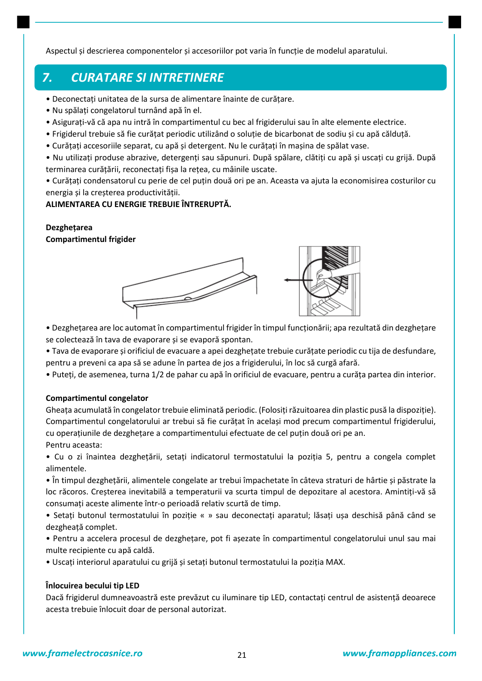Aspectul şi descrierea componentelor şi accesoriilor pot varia în funcţie de modelul aparatului.

### *7. CURATARE SI INTRETINERE*

- Deconectaţi unitatea de la sursa de alimentare înainte de curăţare.
- Nu spălaţi congelatorul turnând apă în el.
- Asiguraţi-vă că apa nu intră în compartimentul cu bec al frigiderului sau în alte elemente electrice.
- Frigiderul trebuie să fie curăţat periodic utilizând o soluţie de bicarbonat de sodiu şi cu apă călduţă.
- Curăţaţi accesoriile separat, cu apă şi detergent. Nu le curăţaţi în maşina de spălat vase.
- Nu utilizaţi produse abrazive, detergenţi sau săpunuri. După spălare, clătiţi cu apă şi uscaţi cu grijă. După terminarea curăţării, reconectaţi fişa la reţea, cu mâinile uscate.

• Curăţaţi condensatorul cu perie de cel puţin două ori pe an. Aceasta va ajuta la economisirea costurilor cu energia și la creșterea productivității.

### **ALIMENTAREA CU ENERGIE TREBUIE ÎNTRERUPTĂ.**

### **Dezghețarea**

**Compartimentul frigider**



• Dezgheţarea are loc automat în compartimentul frigider în timpul funcţionării; apa rezultată din dezgheţare se colectează în tava de evaporare şi se evaporă spontan.

• Tava de evaporare şi orificiul de evacuare a apei dezgheţate trebuie curăţate periodic cu tija de desfundare, pentru a preveni ca apa să se adune în partea de jos a frigiderului, în loc să curgă afară.

• Puteţi, de asemenea, turna 1/2 de pahar cu apă în orificiul de evacuare, pentru a curăţa partea din interior.

### **Compartimentul congelator**

Gheaţa acumulată în congelator trebuie eliminată periodic. (Folosiţi răzuitoarea din plastic pusă la dispoziţie). Compartimentul congelatorului ar trebui să fie curătat în același mod precum compartimentul frigiderului, cu operațiunile de dezghețare a compartimentului efectuate de cel puțin două ori pe an. Pentru aceasta:

• Cu o zi înaintea dezghetării, setati indicatorul termostatului la pozitia 5, pentru a congela complet alimentele.

• În timpul dezgheţării, alimentele congelate ar trebui împachetate în câteva straturi de hârtie şi păstrate la loc răcoros. Creşterea inevitabilă a temperaturii va scurta timpul de depozitare al acestora. Amintiţi-vă să consumaţi aceste alimente într-o perioadă relativ scurtă de timp.

• Setaţi butonul termostatului în poziţie « » sau deconectaţi aparatul; lăsaţi uşa deschisă până când se dezgheată complet.

• Pentru a accelera procesul de dezgheţare, pot fi aşezate în compartimentul congelatorului unul sau mai multe recipiente cu apă caldă.

• Uscați interiorul aparatului cu grijă și setați butonul termostatului la poziția MAX.

### **Înlocuirea becului tip LED**

Dacă frigiderul dumneavoastră este prevăzut cu iluminare tip LED, contactaţi centrul de asistenţă deoarece acesta trebuie înlocuit doar de personal autorizat.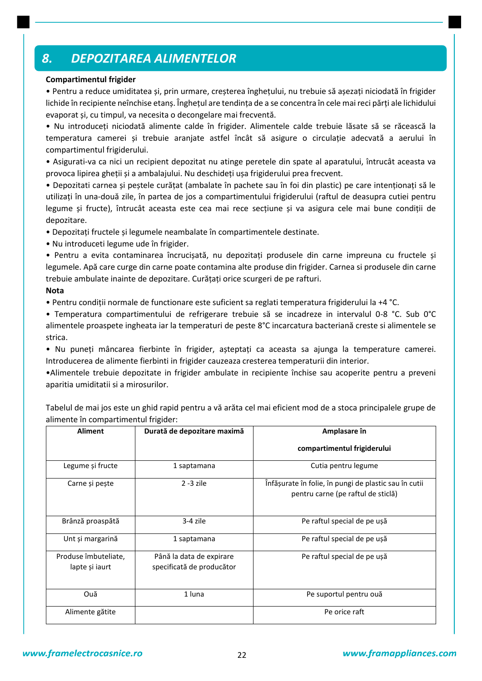### *8. DEPOZITAREA ALIMENTELOR*

### **Compartimentul frigider**

• Pentru a reduce umiditatea şi, prin urmare, creşterea îngheţului, nu trebuie să aşezaţi niciodată în frigider lichide în recipiente neînchise etans. Înghețul are tendința de a se concentra în cele mai reci părți ale lichidului evaporat şi, cu timpul, va necesita o decongelare mai frecventă.

• Nu introduceţi niciodată alimente calde în frigider. Alimentele calde trebuie lăsate să se răcească la temperatura camerei şi trebuie aranjate astfel încât să asigure o circulaţie adecvată a aerului în compartimentul frigiderului.

• Asigurati-va ca nici un recipient depozitat nu atinge peretele din spate al aparatului, întrucât aceasta va provoca lipirea gheţii şi a ambalajului. Nu deschideţi uşa frigiderului prea frecvent.

• Depozitati carnea şi peştele curăţat (ambalate în pachete sau în foi din plastic) pe care intenţionaţi să le utilizaţi în una-două zile, în partea de jos a compartimentului frigiderului (raftul de deasupra cutiei pentru legume şi fructe), întrucât aceasta este cea mai rece secţiune şi va asigura cele mai bune condiţii de depozitare.

• Depozitaţi fructele şi legumele neambalate în compartimentele destinate.

• Nu introduceti legume ude în frigider.

• Pentru a evita contaminarea încrucişată, nu depozitaţi produsele din carne impreuna cu fructele şi legumele. Apă care curge din carne poate contamina alte produse din frigider. Carnea si produsele din carne trebuie ambulate inainte de depozitare. Curăţaţi orice scurgeri de pe rafturi.

### **Nota**

• Pentru condiţii normale de functionare este suficient sa reglati temperatura frigiderului la +4 °C.

• Temperatura compartimentului de refrigerare trebuie să se incadreze in intervalul 0-8 °C. Sub 0°C alimentele proaspete ingheata iar la temperaturi de peste 8°C incarcatura bacteriană creste si alimentele se strica.

• Nu puneţi mâncarea fierbinte în frigider, aşteptaţi ca aceasta sa ajunga la temperature camerei. Introducerea de alimente fierbinti in frigider cauzeaza cresterea temperaturii din interior.

•Alimentele trebuie depozitate in frigider ambulate in recipiente închise sau acoperite pentru a preveni aparitia umiditatii si a mirosurilor.

Tabelul de mai jos este un ghid rapid pentru a vă arăta cel mai eficient mod de a stoca principalele grupe de alimente în compartimentul frigider:

| <b>Aliment</b>                         | Durată de depozitare maximă                           | Amplasare în                                                                                |  |
|----------------------------------------|-------------------------------------------------------|---------------------------------------------------------------------------------------------|--|
|                                        |                                                       | compartimentul frigiderului                                                                 |  |
| Legume și fructe                       | 1 saptamana                                           | Cutia pentru legume                                                                         |  |
| Carne și pește                         | $2 - 3$ zile                                          | Înfășurate în folie, în pungi de plastic sau în cutii<br>pentru carne (pe raftul de sticlă) |  |
| Brânză proaspătă                       | $3-4$ zile                                            | Pe raftul special de pe ușă                                                                 |  |
| Unt și margarină                       | 1 saptamana                                           | Pe raftul special de pe ușă                                                                 |  |
| Produse îmbuteliate,<br>lapte și iaurt | Până la data de expirare<br>specificată de producător | Pe raftul special de pe ușă                                                                 |  |
| Ouă                                    | 1 luna                                                | Pe suportul pentru ouă                                                                      |  |
| Alimente gătite                        |                                                       | Pe orice raft                                                                               |  |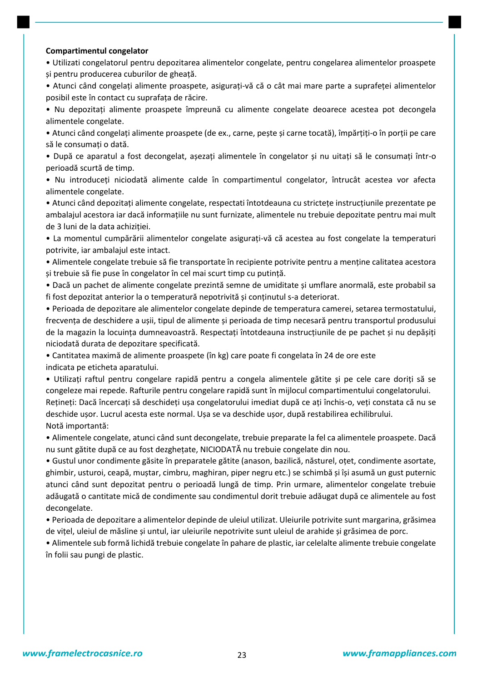#### **Compartimentul congelator**

• Utilizati congelatorul pentru depozitarea alimentelor congelate, pentru congelarea alimentelor proaspete şi pentru producerea cuburilor de gheaţă.

• Atunci când congelaţi alimente proaspete, asiguraţi-vă că o cât mai mare parte a suprafeţei alimentelor posibil este în contact cu suprafaţa de răcire.

• Nu depozitaţi alimente proaspete împreună cu alimente congelate deoarece acestea pot decongela alimentele congelate.

• Atunci când congelaţi alimente proaspete (de ex., carne, peşte şi carne tocată), împărţiţi-o în porţii pe care să le consumaţi o dată.

• După ce aparatul a fost decongelat, asezati alimentele în congelator și nu uitati să le consumati într-o perioadă scurtă de timp.

• Nu introduceţi niciodată alimente calde în compartimentul congelator, întrucât acestea vor afecta alimentele congelate.

• Atunci când depozitaţi alimente congelate, respectati întotdeauna cu stricteţe instrucţiunile prezentate pe ambalajul acestora iar dacă informaţiile nu sunt furnizate, alimentele nu trebuie depozitate pentru mai mult de 3 luni de la data achizitiei.

• La momentul cumpărării alimentelor congelate asiguraţi-vă că acestea au fost congelate la temperaturi potrivite, iar ambalajul este intact.

• Alimentele congelate trebuie să fie transportate în recipiente potrivite pentru a menţine calitatea acestora şi trebuie să fie puse în congelator în cel mai scurt timp cu putinţă.

• Dacă un pachet de alimente congelate prezintă semne de umiditate şi umflare anormală, este probabil sa fi fost depozitat anterior la o temperatură nepotrivită şi conţinutul s-a deteriorat.

• Perioada de depozitare ale alimentelor congelate depinde de temperatura camerei, setarea termostatului, frecvenţa de deschidere a uşii, tipul de alimente şi perioada de timp necesară pentru transportul produsului de la magazin la locuinţa dumneavoastră. Respectaţi întotdeauna instrucţiunile de pe pachet şi nu depăşiţi niciodată durata de depozitare specificată.

• Cantitatea maximă de alimente proaspete (în kg) care poate fi congelata în 24 de ore este indicata pe eticheta aparatului.

• Utilizaţi raftul pentru congelare rapidă pentru a congela alimentele gătite şi pe cele care doriţi să se congeleze mai repede. Rafturile pentru congelare rapidă sunt în mijlocul compartimentului congelatorului. Reţineţi: Dacă încercaţi să deschideţi uşa congelatorului imediat după ce aţi închis-o, veţi constata că nu se deschide uşor. Lucrul acesta este normal. Uşa se va deschide uşor, după restabilirea echilibrului. Notă importantă:

• Alimentele congelate, atunci când sunt decongelate, trebuie preparate la fel ca alimentele proaspete. Dacă nu sunt gătite după ce au fost dezgheţate, NICIODATĂ nu trebuie congelate din nou.

• Gustul unor condimente găsite în preparatele gătite (anason, bazilică, năsturel, oţet, condimente asortate, ghimbir, usturoi, ceapă, muştar, cimbru, maghiran, piper negru etc.) se schimbă şi îşi asumă un gust puternic atunci când sunt depozitat pentru o perioadă lungă de timp. Prin urmare, alimentelor congelate trebuie adăugată o cantitate mică de condimente sau condimentul dorit trebuie adăugat după ce alimentele au fost decongelate.

• Perioada de depozitare a alimentelor depinde de uleiul utilizat. Uleiurile potrivite sunt margarina, grăsimea de viţel, uleiul de măsline şi untul, iar uleiurile nepotrivite sunt uleiul de arahide şi grăsimea de porc.

• Alimentele sub formă lichidă trebuie congelate în pahare de plastic, iar celelalte alimente trebuie congelate în folii sau pungi de plastic.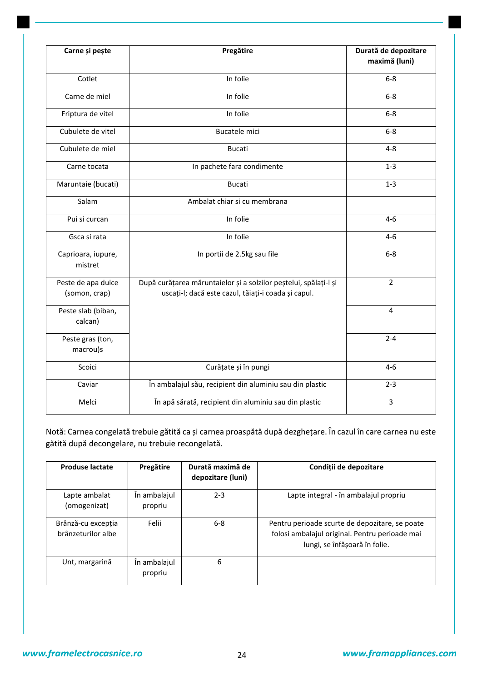| Carne și pește                      | Pregătire                                                                                                               | Durată de depozitare<br>maximă (luni) |  |
|-------------------------------------|-------------------------------------------------------------------------------------------------------------------------|---------------------------------------|--|
| Cotlet                              | In folie                                                                                                                | $6-8$                                 |  |
| Carne de miel                       | In folie                                                                                                                | $6-8$                                 |  |
| Friptura de vitel                   | In folie                                                                                                                | $6 - 8$                               |  |
| Cubulete de vitel                   | <b>Bucatele mici</b>                                                                                                    | $6-8$                                 |  |
| Cubulete de miel                    | <b>Bucati</b>                                                                                                           | $4 - 8$                               |  |
| Carne tocata                        | In pachete fara condimente                                                                                              | $1-3$                                 |  |
| Maruntaie (bucati)                  | <b>Bucati</b>                                                                                                           | $1 - 3$                               |  |
| Salam                               | Ambalat chiar si cu membrana                                                                                            |                                       |  |
| Pui si curcan                       | In folie                                                                                                                | $4 - 6$                               |  |
| Gsca si rata                        | In folie                                                                                                                | $4 - 6$                               |  |
| Caprioara, iupure,<br>mistret       | In portii de 2.5kg sau file                                                                                             | $6-8$                                 |  |
| Peste de apa dulce<br>(somon, crap) | După curățarea măruntaielor și a solzilor peștelui, spălați-l și<br>uscați-l; dacă este cazul, tăiați-i coada și capul. | $\overline{2}$                        |  |
| Peste slab (biban,<br>calcan)       |                                                                                                                         | 4                                     |  |
| Peste gras (ton,<br>macrou)s        |                                                                                                                         | $2 - 4$                               |  |
| Scoici                              | Curățate și în pungi                                                                                                    | $4 - 6$                               |  |
| Caviar                              | În ambalajul său, recipient din aluminiu sau din plastic                                                                | $2 - 3$                               |  |
| Melci                               | În apă sărată, recipient din aluminiu sau din plastic                                                                   | 3                                     |  |

Notă: Carnea congelată trebuie gătită ca şi carnea proaspătă după dezgheţare. În cazul în care carnea nu este gătită după decongelare, nu trebuie recongelată.

| <b>Produse lactate</b>                   | Pregătire               | Durată maximă de<br>depozitare (luni) | Condiții de depozitare                                                                                                            |
|------------------------------------------|-------------------------|---------------------------------------|-----------------------------------------------------------------------------------------------------------------------------------|
| Lapte ambalat<br>(omogenizat)            | În ambalajul<br>propriu | $2 - 3$                               | Lapte integral - în ambalajul propriu                                                                                             |
| Brânză-cu excepția<br>brânzeturilor albe | Felii                   | $6 - 8$                               | Pentru perioade scurte de depozitare, se poate<br>folosi ambalajul original. Pentru perioade mai<br>lungi, se înfășoară în folie. |
| Unt, margarină                           | În ambalajul<br>propriu | 6                                     |                                                                                                                                   |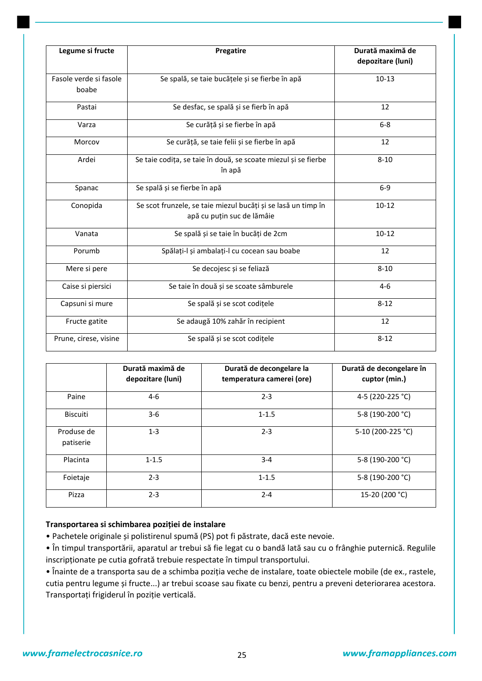| Legume si fructe                                                                  | Pregatire                                                                                   | Durată maximă de<br>depozitare (luni) |
|-----------------------------------------------------------------------------------|---------------------------------------------------------------------------------------------|---------------------------------------|
| Se spală, se taie bucățele și se fierbe în apă<br>Fasole verde si fasole<br>boabe |                                                                                             | $10 - 13$                             |
| Pastai                                                                            | Se desfac, se spală și se fierb în apă                                                      | 12                                    |
| Varza                                                                             | Se curăță și se fierbe în apă                                                               | $6-8$                                 |
| Morcov                                                                            | Se curăță, se taie felii și se fierbe în apă                                                | 12                                    |
| Ardei                                                                             | Se taie codița, se taie în două, se scoate miezul și se fierbe<br>în apă                    | $8 - 10$                              |
| Spanac                                                                            | Se spală și se fierbe în apă                                                                | $6-9$                                 |
| Conopida                                                                          | Se scot frunzele, se taie miezul bucăți și se lasă un timp în<br>apă cu puțin suc de lămâie | $10 - 12$                             |
| Vanata                                                                            | Se spală și se taie în bucăți de 2cm                                                        | $10 - 12$                             |
| Porumb                                                                            | Spălați-l și ambalați-l cu cocean sau boabe                                                 | 12                                    |
| Mere si pere                                                                      | Se decojesc și se feliază                                                                   | $8 - 10$                              |
| Caise si piersici                                                                 | Se taie în două și se scoate sâmburele                                                      | $4 - 6$                               |
| Capsuni si mure                                                                   | Se spală și se scot codițele                                                                | $8 - 12$                              |
| Fructe gatite                                                                     | Se adaugă 10% zahăr în recipient                                                            | 12                                    |
| Prune, cirese, visine                                                             | Se spală și se scot codițele                                                                | $8 - 12$                              |

|                         | Durată maximă de<br>depozitare (luni) | Durată de decongelare la<br>temperatura camerei (ore) | Durată de decongelare în<br>cuptor (min.) |
|-------------------------|---------------------------------------|-------------------------------------------------------|-------------------------------------------|
| Paine                   | $4-6$                                 | $2 - 3$                                               | 4-5 (220-225 °C)                          |
| <b>Biscuiti</b>         | $3-6$                                 | $1 - 1.5$                                             | 5-8 (190-200 °C)                          |
| Produse de<br>patiserie | $1 - 3$                               | $2 - 3$                                               | 5-10 (200-225 °C)                         |
| Placinta                | $1 - 1.5$                             | $3 - 4$                                               | 5-8 (190-200 °C)                          |
| Foietaje                | $2 - 3$                               | $1 - 1.5$                                             | 5-8 (190-200 °C)                          |
| Pizza                   | $2 - 3$                               | $2 - 4$                                               | 15-20 (200 °C)                            |

### **Transportarea si schimbarea poziției de instalare**

- Pachetele originale şi polistirenul spumă (PS) pot fi păstrate, dacă este nevoie.
- În timpul transportării, aparatul ar trebui să fie legat cu o bandă lată sau cu o frânghie puternică. Regulile inscripţionate pe cutia gofrată trebuie respectate în timpul transportului.
- Înainte de a transporta sau de a schimba poziţia veche de instalare, toate obiectele mobile (de ex., rastele, cutia pentru legume şi fructe...) ar trebui scoase sau fixate cu benzi, pentru a preveni deteriorarea acestora. Transportaţi frigiderul în poziţie verticală.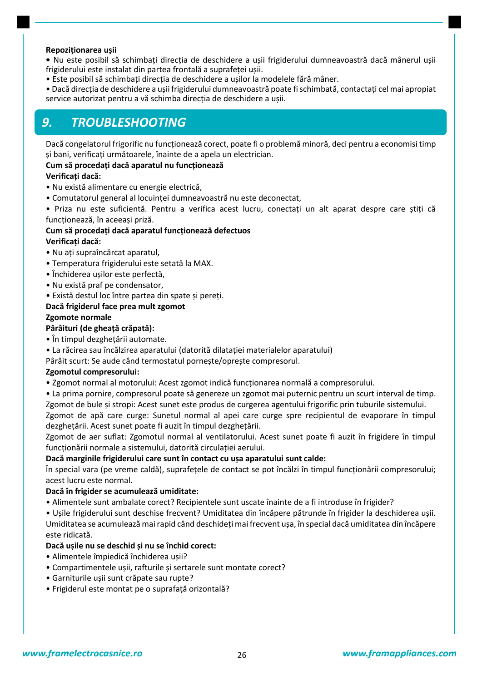### **Repoziționarea ușii**

- Nu este posibil să schimbati directia de deschidere a usii frigiderului dumneavoastră dacă mânerul usii frigiderului este instalat din partea frontală a suprafetei usii.
- Este posibil să schimbati directia de deschidere a usilor la modelele fără mâner.
- Dacă direcţia de deschidere a uşii frigiderului dumneavoastră poate fi schimbată, contactaţi cel mai apropiat service autorizat pentru a vă schimba direcţia de deschidere a uşii.

### *9. TROUBLESHOOTING*

Dacă congelatorul frigorific nu funcţionează corect, poate fi o problemă minoră, deci pentru a economisi timp şi bani, verificaţi următoarele, înainte de a apela un electrician.

### **Cum să procedați dacă aparatul nu funcționează**

### **Verificați dacă:**

- Nu există alimentare cu energie electrică,
- Comutatorul general al locuinţei dumneavoastră nu este deconectat,
- Priza nu este suficientă. Pentru a verifica acest lucru, conectati un alt aparat despre care știti că funcționează, în aceeași priză.

### **Cum să procedați dacă aparatul funcționează defectuos Verificați dacă:**

- Nu aţi supraîncărcat aparatul,
- Temperatura frigiderului este setată la MAX.
- Închiderea uşilor este perfectă,
- Nu există praf pe condensator,
- Există destul loc între partea din spate şi pereţi.

### **Dacă frigiderul face prea mult zgomot**

### **Zgomote normale**

### **Pârâituri (de gheață crăpată):**

- În timpul dezgheţării automate.
- La răcirea sau încălzirea aparatului (datorită dilataţiei materialelor aparatului)

Pârâit scurt: Se aude când termostatul porneşte/opreşte compresorul.

### **Zgomotul compresorului:**

- Zgomot normal al motorului: Acest zgomot indică funcţionarea normală a compresorului.
- La prima pornire, compresorul poate să genereze un zgomot mai puternic pentru un scurt interval de timp. Zgomot de bule şi stropi: Acest sunet este produs de curgerea agentului frigorific prin tuburile sistemului.

Zgomot de apă care curge: Sunetul normal al apei care curge spre recipientul de evaporare în timpul dezgheţării. Acest sunet poate fi auzit în timpul dezgheţării.

Zgomot de aer suflat: Zgomotul normal al ventilatorului. Acest sunet poate fi auzit în frigidere în timpul functionării normale a sistemului, datorită circulației aerului.

### **Dacă marginile frigiderului care sunt în contact cu ușa aparatului sunt calde:**

În special vara (pe vreme caldă), suprafeţele de contact se pot încălzi în timpul funcţionării compresorului; acest lucru este normal.

### **Dacă în frigider se acumulează umiditate:**

- Alimentele sunt ambalate corect? Recipientele sunt uscate înainte de a fi introduse în frigider?
- Uşile frigiderului sunt deschise frecvent? Umiditatea din încăpere pătrunde în frigider la deschiderea uşii. Umiditatea se acumulează mai rapid când deschideţi mai frecvent uşa, în special dacă umiditatea din încăpere este ridicată.

### **Dacă ușile nu se deschid și nu se închid corect:**

- Alimentele împiedică închiderea uşii?
- Compartimentele uşii, rafturile şi sertarele sunt montate corect?
- Garniturile uşii sunt crăpate sau rupte?
- Frigiderul este montat pe o suprafaţă orizontală?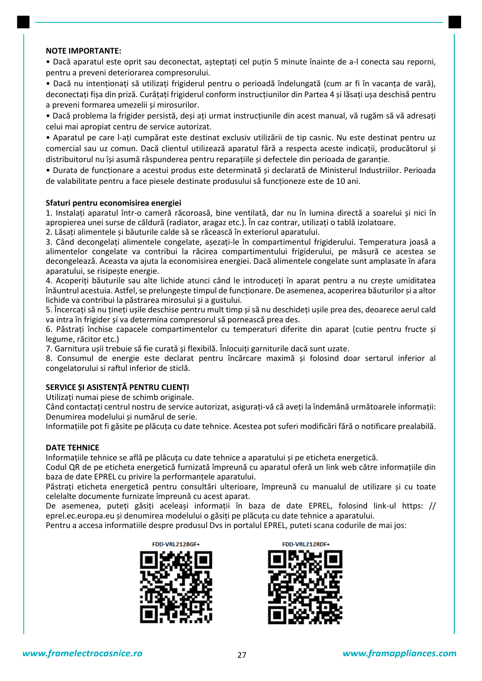### **NOTE IMPORTANTE:**

• Dacă aparatul este oprit sau deconectat, asteptati cel putin 5 minute înainte de a-l conecta sau reporni, pentru a preveni deteriorarea compresorului.

• Dacă nu intenţionaţi să utilizaţi frigiderul pentru o perioadă îndelungată (cum ar fi în vacanţa de vară), deconectați fișa din priză. Curățați frigiderul conform instrucțiunilor din Partea 4 și lăsați ușa deschisă pentru a preveni formarea umezelii şi mirosurilor.

• Dacă problema la frigider persistă, deşi aţi urmat instrucţiunile din acest manual, vă rugăm să vă adresaţi celui mai apropiat centru de service autorizat.

• Aparatul pe care l-aţi cumpărat este destinat exclusiv utilizării de tip casnic. Nu este destinat pentru uz comercial sau uz comun. Dacă clientul utilizează aparatul fără a respecta aceste indicaţii, producătorul şi distribuitorul nu îşi asumă răspunderea pentru reparaţiile şi defectele din perioada de garanţie.

• Durata de funcţionare a acestui produs este determinată şi declarată de Ministerul Industriilor. Perioada de valabilitate pentru a face piesele destinate produsului să funcţioneze este de 10 ani.

### **Sfaturi pentru economisirea energiei**

1. Instalaţi aparatul într-o cameră răcoroasă, bine ventilată, dar nu în lumina directă a soarelui şi nici în apropierea unei surse de căldură (radiator, aragaz etc.). În caz contrar, utilizaţi o tablă izolatoare.

2. Lăsaţi alimentele şi băuturile calde să se răcească în exteriorul aparatului.

3. Când decongelaţi alimentele congelate, aşezaţi-le în compartimentul frigiderului. Temperatura joasă a alimentelor congelate va contribui la răcirea compartimentului frigiderului, pe măsură ce acestea se decongelează. Aceasta va ajuta la economisirea energiei. Dacă alimentele congelate sunt amplasate în afara aparatului, se risipeşte energie.

4. Acoperiţi băuturile sau alte lichide atunci când le introduceţi în aparat pentru a nu creşte umiditatea înăuntrul acestuia. Astfel, se prelungeşte timpul de funcţionare. De asemenea, acoperirea băuturilor şi a altor lichide va contribui la păstrarea mirosului şi a gustului.

5. Încercaţi să nu ţineţi uşile deschise pentru mult timp şi să nu deschideţi uşile prea des, deoarece aerul cald va intra în frigider şi va determina compresorul să pornească prea des.

6. Păstraţi închise capacele compartimentelor cu temperaturi diferite din aparat (cutie pentru fructe şi legume, răcitor etc.)

7. Garnitura uşii trebuie să fie curată şi flexibilă. Înlocuiţi garniturile dacă sunt uzate.

8. Consumul de energie este declarat pentru încărcare maximă şi folosind doar sertarul inferior al congelatorului si raftul inferior de sticlă.

### **SERVICE ȘI ASISTENȚĂ PENTRU CLIENȚI**

Utilizaţi numai piese de schimb originale.

Când contactaţi centrul nostru de service autorizat, asiguraţi-vă că aveţi la îndemână următoarele informaţii: Denumirea modelului şi numărul de serie.

Informaţiile pot fi găsite pe plăcuţa cu date tehnice. Acestea pot suferi modificări fără o notificare prealabilă.

#### **DATE TEHNICE**

Informațiile tehnice se află pe plăcuța cu date tehnice a aparatului și pe eticheta energetică.

Codul QR de pe eticheta energetică furnizată împreună cu aparatul oferă un link web către informaţiile din baza de date EPREL cu privire la performanţele aparatului.

Păstrați eticheta energetică pentru consultări ulterioare, împreună cu manualul de utilizare și cu toate celelalte documente furnizate împreună cu acest aparat.

De asemenea, puteți găsiți aceleași informații în baza de date EPREL, folosind link-ul https: // eprel.ec.europa.eu şi denumirea modelului o găsiţi pe plăcuţa cu date tehnice a aparatului.

Pentru a accesa informatiile despre produsul Dvs in portalul EPREL, puteti scana codurile de mai jos:





FDD-VRL212RDF